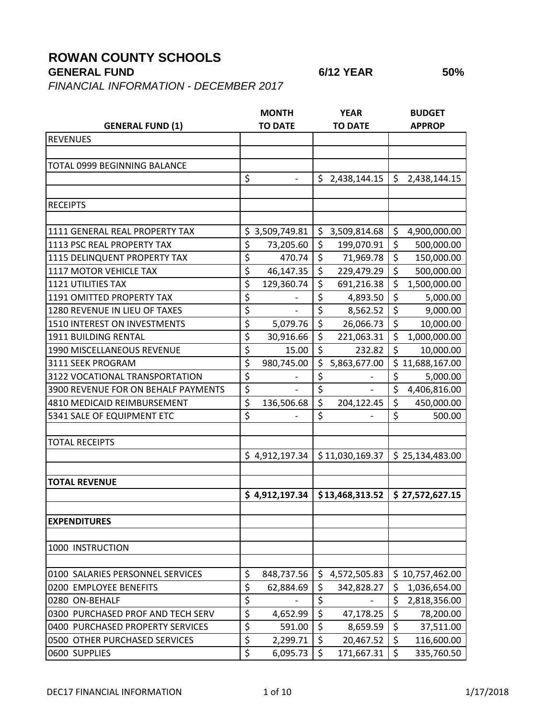## **ROWAN COUNTY SCHOOLS**

## **GENERAL FUND 6/12 YEAR 50%**

*FINANCIAL INFORMATION - DECEMBER 2017*

|                                     |                          | <b>MONTH</b>   |                  | <b>YEAR</b>     |                        | <b>BUDGET</b>   |
|-------------------------------------|--------------------------|----------------|------------------|-----------------|------------------------|-----------------|
| <b>GENERAL FUND (1)</b>             |                          | <b>TO DATE</b> |                  | <b>TO DATE</b>  | <b>APPROP</b>          |                 |
| <b>REVENUES</b>                     |                          |                |                  |                 |                        |                 |
|                                     |                          |                |                  |                 |                        |                 |
| TOTAL 0999 BEGINNING BALANCE        |                          |                |                  |                 |                        |                 |
|                                     | \$                       |                | \$               | 2,438,144.15    | \$                     | 2,438,144.15    |
|                                     |                          |                |                  |                 |                        |                 |
| <b>RECEIPTS</b>                     |                          |                |                  |                 |                        |                 |
|                                     |                          |                |                  |                 |                        |                 |
| 1111 GENERAL REAL PROPERTY TAX      |                          | \$3,509,749.81 | \$               | 3,509,814.68    | \$                     | 4,900,000.00    |
| 1113 PSC REAL PROPERTY TAX          | $\overline{\xi}$         | 73,205.60      | \$               | 199,070.91      | $\overline{\xi}$       | 500,000.00      |
| 1115 DELINQUENT PROPERTY TAX        | \$                       | 470.74         | \$               | 71,969.78       | $\overline{\xi}$       | 150,000.00      |
| 1117 MOTOR VEHICLE TAX              | \$                       | 46,147.35      | \$               | 229,479.29      | $\overline{\xi}$       | 500,000.00      |
| <b>1121 UTILITIES TAX</b>           | \$                       | 129,360.74     | \$               | 691,216.38      | \$                     | 1,500,000.00    |
| 1191 OMITTED PROPERTY TAX           | \$                       |                | \$               | 4,893.50        | \$                     | 5,000.00        |
| 1280 REVENUE IN LIEU OF TAXES       | \$                       |                | $\overline{\xi}$ | 8,562.52        | $\overline{\xi}$       | 9,000.00        |
| 1510 INTEREST ON INVESTMENTS        | \$                       | 5,079.76       | \$               | 26,066.73       | $\overline{\xi}$       | 10,000.00       |
| 1911 BUILDING RENTAL                | \$                       | 30,916.66      | \$               | 221,063.31      | $\overline{\xi}$       | 1,000,000.00    |
| 1990 MISCELLANEOUS REVENUE          | \$                       | 15.00          | \$               | 232.82          | \$                     | 10,000.00       |
| 3111 SEEK PROGRAM                   | \$                       | 980,745.00     | \$               | 5,863,677.00    |                        | \$11,688,167.00 |
| 3122 VOCATIONAL TRANSPORTATION      | \$                       |                | \$               |                 | $\overline{\varsigma}$ | 5,000.00        |
| 3900 REVENUE FOR ON BEHALF PAYMENTS | \$                       |                | \$               |                 | \$                     | 4,406,816.00    |
| 4810 MEDICAID REIMBURSEMENT         | \$                       | 136,506.68     | \$               | 204,122.45      | \$                     | 450,000.00      |
| 5341 SALE OF EQUIPMENT ETC          | \$                       |                | \$               |                 | \$                     | 500.00          |
|                                     |                          |                |                  |                 |                        |                 |
| <b>TOTAL RECEIPTS</b>               |                          |                |                  |                 |                        |                 |
|                                     |                          | \$4,912,197.34 |                  | \$11,030,169.37 |                        | \$25,134,483.00 |
|                                     |                          |                |                  |                 |                        |                 |
| <b>TOTAL REVENUE</b>                |                          |                |                  |                 |                        |                 |
|                                     |                          | \$4,912,197.34 |                  | \$13,468,313.52 |                        | \$27,572,627.15 |
|                                     |                          |                |                  |                 |                        |                 |
| <b>EXPENDITURES</b>                 |                          |                |                  |                 |                        |                 |
|                                     |                          |                |                  |                 |                        |                 |
| 1000 INSTRUCTION                    |                          |                |                  |                 |                        |                 |
|                                     |                          |                |                  |                 |                        |                 |
| 0100 SALARIES PERSONNEL SERVICES    | \$                       | 848,737.56     | \$               | 4,572,505.83    |                        | \$10,757,462.00 |
| 0200 EMPLOYEE BENEFITS              | \$                       | 62,884.69      | \$               | 342,828.27      | \$                     | 1,036,654.00    |
| 0280 ON-BEHALF                      | \$                       |                | \$               |                 | \$                     | 2,818,356.00    |
| 0300 PURCHASED PROF AND TECH SERV   | $\overline{\mathcal{L}}$ | 4,652.99       | $\overline{\xi}$ | 47,178.25       | \$                     | 78,200.00       |
| 0400 PURCHASED PROPERTY SERVICES    | $\overline{\xi}$         | 591.00         | \$               | 8,659.59        | $\overline{\xi}$       | 37,511.00       |
| 0500 OTHER PURCHASED SERVICES       | \$                       | 2,299.71       | \$               | 20,467.52       | \$                     | 116,600.00      |
| 0600 SUPPLIES                       | \$                       | 6,095.73       | \$               | 171,667.31      | \$                     | 335,760.50      |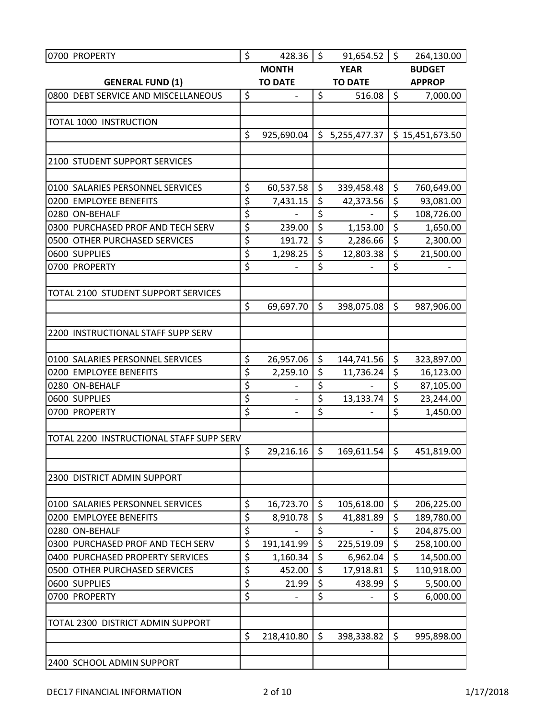| 0700 PROPERTY                            | \$                     | 428.36                   | $\ddot{\mathsf{S}}$ | 91,654.52         | $\zeta$          | 264,130.00      |
|------------------------------------------|------------------------|--------------------------|---------------------|-------------------|------------------|-----------------|
|                                          | <b>MONTH</b>           |                          | <b>YEAR</b>         |                   | <b>BUDGET</b>    |                 |
| <b>GENERAL FUND (1)</b>                  | <b>TO DATE</b>         |                          | <b>TO DATE</b>      |                   | <b>APPROP</b>    |                 |
| 0800 DEBT SERVICE AND MISCELLANEOUS      | \$                     |                          | \$                  | 516.08            | $\zeta$          | 7,000.00        |
|                                          |                        |                          |                     |                   |                  |                 |
| TOTAL 1000 INSTRUCTION                   |                        |                          |                     |                   |                  |                 |
|                                          | \$                     | 925,690.04               |                     | \$5,255,477.37    |                  | \$15,451,673.50 |
|                                          |                        |                          |                     |                   |                  |                 |
| 2100 STUDENT SUPPORT SERVICES            |                        |                          |                     |                   |                  |                 |
|                                          |                        |                          |                     |                   |                  |                 |
| 0100 SALARIES PERSONNEL SERVICES         | \$                     | 60,537.58                | \$                  | 339,458.48        | \$               | 760,649.00      |
| 0200 EMPLOYEE BENEFITS                   | \$                     | 7,431.15                 | $\overline{\xi}$    | 42,373.56         | \$               | 93,081.00       |
| 0280 ON-BEHALF                           | \$                     |                          | \$                  | $\qquad \qquad -$ | $\overline{\xi}$ | 108,726.00      |
| 0300 PURCHASED PROF AND TECH SERV        | \$                     | 239.00                   | \$                  | 1,153.00          | $\overline{\xi}$ | 1,650.00        |
| 0500 OTHER PURCHASED SERVICES            | $\overline{\xi}$       | 191.72                   | \$                  | 2,286.66          | $\overline{\xi}$ | 2,300.00        |
| 0600 SUPPLIES                            | $\overline{\varsigma}$ | 1,298.25                 | \$                  | 12,803.38         | \$               | 21,500.00       |
| 0700 PROPERTY                            | $\overline{\xi}$       |                          | \$                  |                   | \$               |                 |
|                                          |                        |                          |                     |                   |                  |                 |
| TOTAL 2100 STUDENT SUPPORT SERVICES      |                        |                          |                     |                   |                  |                 |
|                                          | \$                     | 69,697.70                | \$                  | 398,075.08        | \$               | 987,906.00      |
|                                          |                        |                          |                     |                   |                  |                 |
| 2200 INSTRUCTIONAL STAFF SUPP SERV       |                        |                          |                     |                   |                  |                 |
|                                          |                        |                          |                     |                   |                  |                 |
| 0100 SALARIES PERSONNEL SERVICES         | \$                     | 26,957.06                | \$                  | 144,741.56        | $\zeta$          | 323,897.00      |
| 0200 EMPLOYEE BENEFITS                   | \$                     | 2,259.10                 | \$                  | 11,736.24         | \$               | 16,123.00       |
| 0280 ON-BEHALF                           | $\overline{\xi}$       |                          | \$                  |                   | $\overline{\xi}$ | 87,105.00       |
| 0600 SUPPLIES                            | \$                     | $\overline{\phantom{0}}$ | \$                  | 13,133.74         | $\overline{\xi}$ | 23,244.00       |
| 0700 PROPERTY                            | \$                     |                          | \$                  |                   | \$               | 1,450.00        |
|                                          |                        |                          |                     |                   |                  |                 |
| TOTAL 2200 INSTRUCTIONAL STAFF SUPP SERV |                        |                          |                     |                   |                  |                 |
|                                          | \$                     | 29,216.16                | $\zeta$             | 169,611.54        | $\zeta$          | 451,819.00      |
|                                          |                        |                          |                     |                   |                  |                 |
| 2300 DISTRICT ADMIN SUPPORT              |                        |                          |                     |                   |                  |                 |
|                                          |                        |                          |                     |                   |                  |                 |
| 0100 SALARIES PERSONNEL SERVICES         | \$                     | 16,723.70                | \$                  | 105,618.00        | \$               | 206,225.00      |
| 0200 EMPLOYEE BENEFITS                   | \$                     | 8,910.78                 | \$                  | 41,881.89         | \$               | 189,780.00      |
| 0280 ON-BEHALF                           | \$                     |                          | \$                  |                   | \$               | 204,875.00      |
| 0300 PURCHASED PROF AND TECH SERV        | \$                     | 191,141.99               | $\overline{\xi}$    | 225,519.09        | \$               | 258,100.00      |
| 0400 PURCHASED PROPERTY SERVICES         | \$                     | 1,160.34                 | \$                  | 6,962.04          | \$               | 14,500.00       |
| 0500 OTHER PURCHASED SERVICES            | \$                     | 452.00                   | \$                  | 17,918.81         | \$               | 110,918.00      |
| 0600 SUPPLIES                            | \$                     | 21.99                    | \$                  | 438.99            | \$               | 5,500.00        |
| 0700 PROPERTY                            | \$                     |                          | \$                  |                   | \$               | 6,000.00        |
|                                          |                        |                          |                     |                   |                  |                 |
| TOTAL 2300 DISTRICT ADMIN SUPPORT        |                        |                          |                     |                   |                  |                 |
|                                          | \$                     | 218,410.80               | \$                  | 398,338.82        | \$               | 995,898.00      |
|                                          |                        |                          |                     |                   |                  |                 |
| 2400 SCHOOL ADMIN SUPPORT                |                        |                          |                     |                   |                  |                 |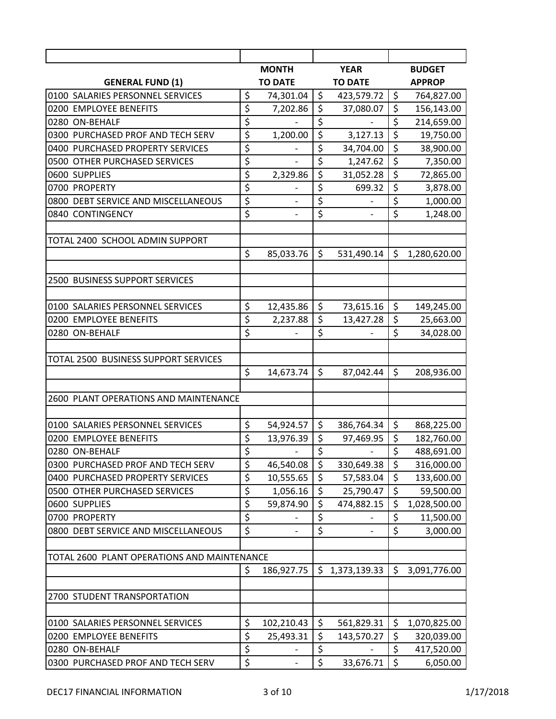|                                             | <b>MONTH</b>                    |                              | <b>YEAR</b>      |                          | <b>BUDGET</b>    |               |
|---------------------------------------------|---------------------------------|------------------------------|------------------|--------------------------|------------------|---------------|
| <b>GENERAL FUND (1)</b>                     |                                 | <b>TO DATE</b>               | <b>TO DATE</b>   |                          |                  | <b>APPROP</b> |
| 0100 SALARIES PERSONNEL SERVICES            | \$                              | 74,301.04                    | \$               | 423,579.72               | \$               | 764,827.00    |
| 0200 EMPLOYEE BENEFITS                      | \$                              | 7,202.86                     | $\overline{\xi}$ | 37,080.07                | $\overline{\xi}$ | 156,143.00    |
| 0280 ON-BEHALF                              | \$                              |                              | \$               |                          | \$               | 214,659.00    |
| 0300 PURCHASED PROF AND TECH SERV           | \$                              | 1,200.00                     | \$               | 3,127.13                 | $\overline{\xi}$ | 19,750.00     |
| 0400 PURCHASED PROPERTY SERVICES            | \$                              |                              | \$               | 34,704.00                | $\overline{\xi}$ | 38,900.00     |
| 0500 OTHER PURCHASED SERVICES               | \$                              | $\overline{\phantom{0}}$     | \$               | 1,247.62                 | $\overline{\xi}$ | 7,350.00      |
| 0600 SUPPLIES                               | \$                              | 2,329.86                     | \$               | 31,052.28                | $\overline{\xi}$ | 72,865.00     |
| 0700 PROPERTY                               | $\overline{\boldsymbol{\zeta}}$ |                              | \$               | 699.32                   | $\overline{\xi}$ | 3,878.00      |
| 0800 DEBT SERVICE AND MISCELLANEOUS         | \$                              |                              | \$               |                          | $\overline{\xi}$ | 1,000.00      |
| 0840 CONTINGENCY                            | \$                              | $\overline{\phantom{a}}$     | $\overline{\xi}$ |                          | \$               | 1,248.00      |
|                                             |                                 |                              |                  |                          |                  |               |
| TOTAL 2400 SCHOOL ADMIN SUPPORT             |                                 |                              |                  |                          |                  |               |
|                                             | \$                              | 85,033.76                    | \$               | 531,490.14               | \$               | 1,280,620.00  |
|                                             |                                 |                              |                  |                          |                  |               |
| 2500 BUSINESS SUPPORT SERVICES              |                                 |                              |                  |                          |                  |               |
|                                             |                                 |                              |                  |                          |                  |               |
| 0100 SALARIES PERSONNEL SERVICES            | \$                              | 12,435.86                    | \$               | 73,615.16                | \$               | 149,245.00    |
| 0200 EMPLOYEE BENEFITS                      | \$                              | 2,237.88                     | \$               | 13,427.28                | \$               | 25,663.00     |
| 0280 ON-BEHALF                              | $\overline{\xi}$                |                              | \$               |                          | \$               | 34,028.00     |
|                                             |                                 |                              |                  |                          |                  |               |
| TOTAL 2500 BUSINESS SUPPORT SERVICES        |                                 |                              |                  |                          |                  |               |
|                                             | \$                              | 14,673.74                    | \$               | 87,042.44                | \$               | 208,936.00    |
|                                             |                                 |                              |                  |                          |                  |               |
| 2600 PLANT OPERATIONS AND MAINTENANCE       |                                 |                              |                  |                          |                  |               |
|                                             |                                 |                              |                  |                          |                  |               |
| 0100 SALARIES PERSONNEL SERVICES            | \$                              | 54,924.57                    | \$               | 386,764.34               | \$               | 868,225.00    |
| 0200 EMPLOYEE BENEFITS                      | $\overline{\xi}$                | 13,976.39                    | \$               | 97,469.95                | \$               | 182,760.00    |
| 0280 ON-BEHALF                              | \$                              | $\overline{\phantom{a}}$     | \$               | $\overline{\phantom{0}}$ | $\overline{\xi}$ | 488,691.00    |
| 0300 PURCHASED PROF AND TECH SERV           | \$                              | 46,540.08                    | \$               | 330,649.38               | \$               | 316,000.00    |
| 0400 PURCHASED PROPERTY SERVICES            | \$                              | 10,555.65                    | \$               | 57,583.04                | \$               | 133,600.00    |
| 0500 OTHER PURCHASED SERVICES               | \$                              | 1,056.16                     | \$               | 25,790.47                | \$               | 59,500.00     |
| 0600 SUPPLIES                               | \$                              | 59,874.90                    | \$               | 474,882.15               | $\zeta$          | 1,028,500.00  |
| 0700 PROPERTY                               | $\overline{\xi}$                |                              | \$               |                          | $\overline{\xi}$ | 11,500.00     |
| 0800 DEBT SERVICE AND MISCELLANEOUS         | \$                              | $\qquad \qquad \blacksquare$ | \$               |                          | \$               | 3,000.00      |
|                                             |                                 |                              |                  |                          |                  |               |
| TOTAL 2600 PLANT OPERATIONS AND MAINTENANCE |                                 |                              |                  |                          |                  |               |
|                                             | \$                              | 186,927.75                   | \$               | 1,373,139.33             | \$               | 3,091,776.00  |
|                                             |                                 |                              |                  |                          |                  |               |
| 2700 STUDENT TRANSPORTATION                 |                                 |                              |                  |                          |                  |               |
|                                             |                                 |                              |                  |                          |                  |               |
| 0100 SALARIES PERSONNEL SERVICES            | \$                              | 102,210.43                   | \$               | 561,829.31               | \$               | 1,070,825.00  |
| 0200 EMPLOYEE BENEFITS                      | \$                              | 25,493.31                    | \$               | 143,570.27               | \$               | 320,039.00    |
| 0280 ON-BEHALF                              | \$                              |                              | \$               |                          | \$               | 417,520.00    |
| 0300 PURCHASED PROF AND TECH SERV           | \$                              |                              | \$               | 33,676.71                | $\zeta$          | 6,050.00      |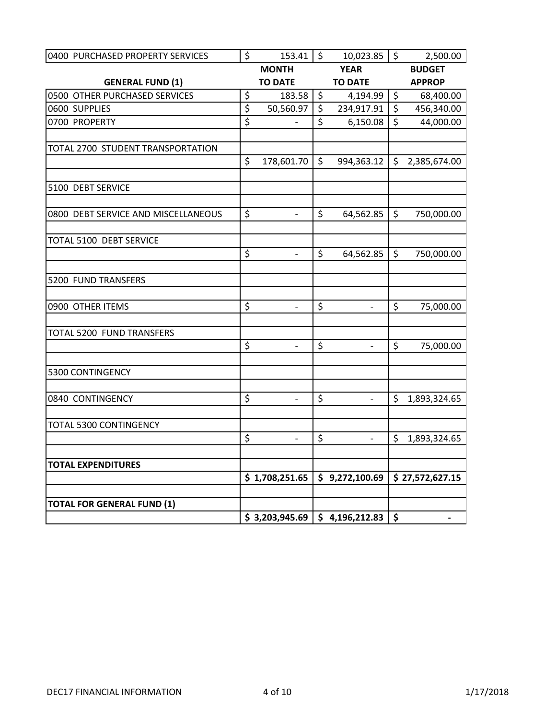| 0400 PURCHASED PROPERTY SERVICES    | \$               | 153.41                   | $\sqrt{5}$       | 10,023.85                       | $\overline{\phantom{0}}$ | 2,500.00        |
|-------------------------------------|------------------|--------------------------|------------------|---------------------------------|--------------------------|-----------------|
|                                     |                  | <b>MONTH</b>             |                  | <b>YEAR</b>                     |                          | <b>BUDGET</b>   |
| <b>GENERAL FUND (1)</b>             |                  | <b>TO DATE</b>           |                  | <b>TO DATE</b>                  |                          | <b>APPROP</b>   |
| 0500 OTHER PURCHASED SERVICES       | \$               | 183.58                   | \$               | 4,194.99                        | \$                       | 68,400.00       |
| 0600 SUPPLIES                       | $\overline{\xi}$ | 50,560.97                | \$               | 234,917.91                      | \$                       | 456,340.00      |
| 0700 PROPERTY                       | $\overline{\xi}$ |                          | \$               | 6,150.08                        | \$                       | 44,000.00       |
|                                     |                  |                          |                  |                                 |                          |                 |
| TOTAL 2700 STUDENT TRANSPORTATION   |                  |                          |                  |                                 |                          |                 |
|                                     | \$               | 178,601.70               | $\zeta$          | 994,363.12                      | $\zeta$                  | 2,385,674.00    |
|                                     |                  |                          |                  |                                 |                          |                 |
| 5100 DEBT SERVICE                   |                  |                          |                  |                                 |                          |                 |
| 0800 DEBT SERVICE AND MISCELLANEOUS | $\zeta$          | $\frac{1}{2}$            | $\zeta$          | 64,562.85                       | $\zeta$                  | 750,000.00      |
|                                     |                  |                          |                  |                                 |                          |                 |
| TOTAL 5100 DEBT SERVICE             |                  |                          |                  |                                 |                          |                 |
|                                     | \$               | $\overline{\phantom{a}}$ | \$               | 64,562.85                       | \$                       | 750,000.00      |
|                                     |                  |                          |                  |                                 |                          |                 |
| 5200 FUND TRANSFERS                 |                  |                          |                  |                                 |                          |                 |
|                                     |                  |                          |                  |                                 |                          |                 |
| 0900 OTHER ITEMS                    | $\zeta$          | $\overline{a}$           | $\zeta$          | $\overline{\phantom{a}}$        | $\zeta$                  | 75,000.00       |
|                                     |                  |                          |                  |                                 |                          |                 |
| TOTAL 5200 FUND TRANSFERS           |                  |                          |                  |                                 |                          |                 |
|                                     | \$               |                          | $\overline{\xi}$ |                                 | \$                       | 75,000.00       |
| 5300 CONTINGENCY                    |                  |                          |                  |                                 |                          |                 |
|                                     |                  |                          |                  |                                 |                          |                 |
| 0840 CONTINGENCY                    | \$               | $\overline{\phantom{a}}$ | \$               | ÷,                              | \$                       | 1,893,324.65    |
|                                     |                  |                          |                  |                                 |                          |                 |
| <b>TOTAL 5300 CONTINGENCY</b>       |                  |                          |                  |                                 |                          |                 |
|                                     | \$               | $\overline{\phantom{a}}$ | \$               | $\mathbb{Z}^d$                  |                          | \$1,893,324.65  |
|                                     |                  |                          |                  |                                 |                          |                 |
| <b>TOTAL EXPENDITURES</b>           |                  |                          |                  |                                 |                          |                 |
|                                     |                  | \$1,708,251.65           |                  | \$9,272,100.69                  |                          | \$27,572,627.15 |
| <b>TOTAL FOR GENERAL FUND (1)</b>   |                  |                          |                  |                                 |                          |                 |
|                                     |                  |                          |                  | $$3,203,945.69$ $$4,196,212.83$ | $\boldsymbol{\zeta}$     |                 |
|                                     |                  |                          |                  |                                 |                          | $\blacksquare$  |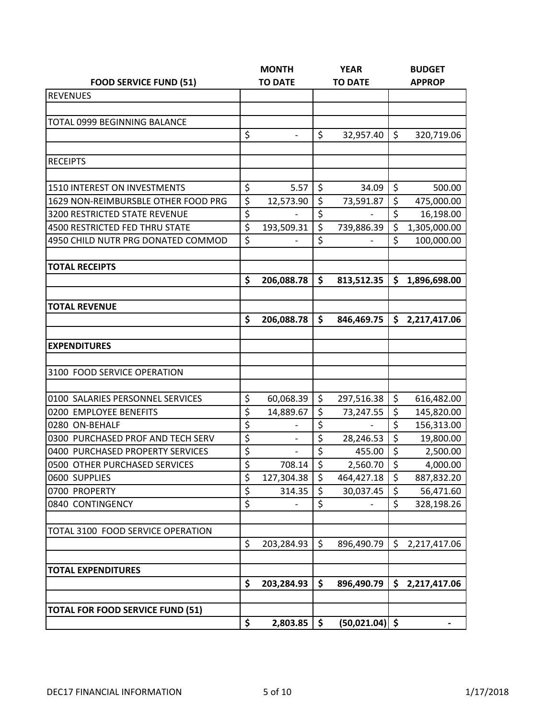|                                         |                                 | <b>MONTH</b>      | <b>YEAR</b>      |              | <b>BUDGET</b>    |              |
|-----------------------------------------|---------------------------------|-------------------|------------------|--------------|------------------|--------------|
| <b>FOOD SERVICE FUND (51)</b>           |                                 | <b>TO DATE</b>    | <b>TO DATE</b>   |              | <b>APPROP</b>    |              |
| <b>REVENUES</b>                         |                                 |                   |                  |              |                  |              |
|                                         |                                 |                   |                  |              |                  |              |
| TOTAL 0999 BEGINNING BALANCE            |                                 |                   |                  |              |                  |              |
|                                         | \$                              |                   | \$               | 32,957.40    | $\zeta$          | 320,719.06   |
|                                         |                                 |                   |                  |              |                  |              |
| <b>RECEIPTS</b>                         |                                 |                   |                  |              |                  |              |
|                                         |                                 |                   |                  |              |                  |              |
| <b>1510 INTEREST ON INVESTMENTS</b>     | \$                              | 5.57              | \$               | 34.09        | \$               | 500.00       |
| 1629 NON-REIMBURSBLE OTHER FOOD PRG     | \$                              | 12,573.90         | $\overline{\xi}$ | 73,591.87    | $\overline{\xi}$ | 475,000.00   |
| 3200 RESTRICTED STATE REVENUE           | \$                              |                   | \$               |              | \$               | 16,198.00    |
| 4500 RESTRICTED FED THRU STATE          | \$                              | 193,509.31        | \$               | 739,886.39   | \$               | 1,305,000.00 |
| 4950 CHILD NUTR PRG DONATED COMMOD      | $\overline{\xi}$                |                   | \$               |              | \$               | 100,000.00   |
|                                         |                                 |                   |                  |              |                  |              |
| <b>TOTAL RECEIPTS</b>                   |                                 |                   |                  |              |                  |              |
|                                         | \$                              | 206,088.78        | \$               | 813,512.35   | \$               | 1,896,698.00 |
| <b>TOTAL REVENUE</b>                    |                                 |                   |                  |              |                  |              |
|                                         | \$                              | 206,088.78        | \$               | 846,469.75   | \$               | 2,217,417.06 |
|                                         |                                 |                   |                  |              |                  |              |
| <b>EXPENDITURES</b>                     |                                 |                   |                  |              |                  |              |
|                                         |                                 |                   |                  |              |                  |              |
| 3100 FOOD SERVICE OPERATION             |                                 |                   |                  |              |                  |              |
|                                         |                                 |                   |                  |              |                  |              |
| 0100 SALARIES PERSONNEL SERVICES        | \$                              | 60,068.39         | \$               | 297,516.38   | \$               | 616,482.00   |
| 0200 EMPLOYEE BENEFITS                  | \$                              | 14,889.67         | \$               | 73,247.55    | \$               | 145,820.00   |
| 0280 ON-BEHALF                          | $\overline{\boldsymbol{\zeta}}$ |                   | \$               |              | $\overline{\xi}$ | 156,313.00   |
| 0300 PURCHASED PROF AND TECH SERV       | \$                              | $\qquad \qquad -$ | \$               | 28,246.53    | \$               | 19,800.00    |
| 0400 PURCHASED PROPERTY SERVICES        | $\overline{\xi}$                |                   | \$               | 455.00       | $\overline{\xi}$ | 2,500.00     |
| 0500 OTHER PURCHASED SERVICES           | \$                              | 708.14            | \$               | 2,560.70     | \$               | 4,000.00     |
| 0600 SUPPLIES                           | \$                              | 127,304.38        | \$               | 464,427.18   | \$               | 887,832.20   |
| 0700 PROPERTY                           | \$                              | 314.35            | \$               | 30,037.45    | \$               | 56,471.60    |
| 0840 CONTINGENCY                        | \$                              |                   | \$               |              | \$               | 328,198.26   |
| TOTAL 3100 FOOD SERVICE OPERATION       |                                 |                   |                  |              |                  |              |
|                                         | \$                              | 203,284.93        | \$               | 896,490.79   | \$               | 2,217,417.06 |
|                                         |                                 |                   |                  |              |                  |              |
| <b>TOTAL EXPENDITURES</b>               |                                 |                   |                  |              |                  |              |
|                                         | \$                              | 203,284.93        | \$               | 896,490.79   | \$               | 2,217,417.06 |
|                                         |                                 |                   |                  |              |                  |              |
| <b>TOTAL FOR FOOD SERVICE FUND (51)</b> |                                 |                   |                  |              |                  |              |
|                                         | \$                              | 2,803.85          | \$               | (50, 021.04) | \$               |              |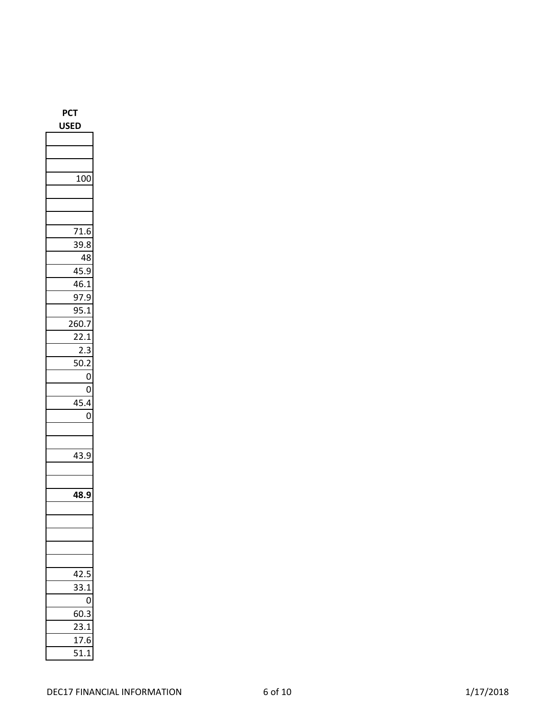| ED<br>JS              |
|-----------------------|
|                       |
|                       |
|                       |
| 100                   |
|                       |
|                       |
|                       |
| 71.6                  |
| 39.8                  |
| 48                    |
| 45<br>5.9             |
| 46<br>5.1             |
| 97.9<br>J             |
| $\cdot$<br>9!         |
| 260.                  |
| 22.1                  |
| 2.3<br>Ŝ              |
| 50.2<br>I             |
| 0                     |
| 0                     |
| ,4<br>ľ               |
| 0                     |
|                       |
|                       |
| 43.                   |
|                       |
|                       |
| .<br>18.9<br>Δ        |
|                       |
|                       |
|                       |
|                       |
|                       |
| 42.5<br>J             |
| 33.<br>$\overline{1}$ |
| 0                     |
| 60.3<br>3             |
| $\overline{23.1}$     |
| $\frac{17.6}{51.1}$   |
|                       |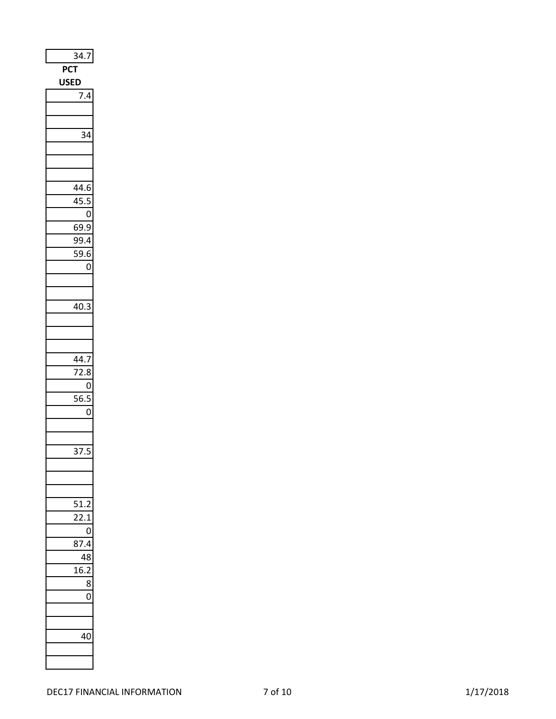| $\overline{34.7}$           |
|-----------------------------|
| PCT                         |
| <b>USED</b>                 |
| $\frac{1}{7.4}$             |
|                             |
|                             |
| 34                          |
|                             |
|                             |
|                             |
| 44.6                        |
| 45.5                        |
| $\mathbf 0$                 |
| 69.9                        |
| 99.4                        |
| I<br>59.6                   |
| 0                           |
|                             |
|                             |
| 40.3                        |
|                             |
|                             |
|                             |
| 44.7                        |
| 72.8<br>0                   |
| $\overline{56}$ .<br>c<br>5 |
| 0                           |
|                             |
|                             |
| 37<br>I<br>ċ                |
|                             |
|                             |
|                             |
| C<br>51                     |
| 7                           |
| C<br>)                      |
| 8<br>1                      |
| 8<br>l                      |
| ł<br>1                      |
| 8                           |
| 0                           |
|                             |
|                             |
| 40<br>J                     |
|                             |
|                             |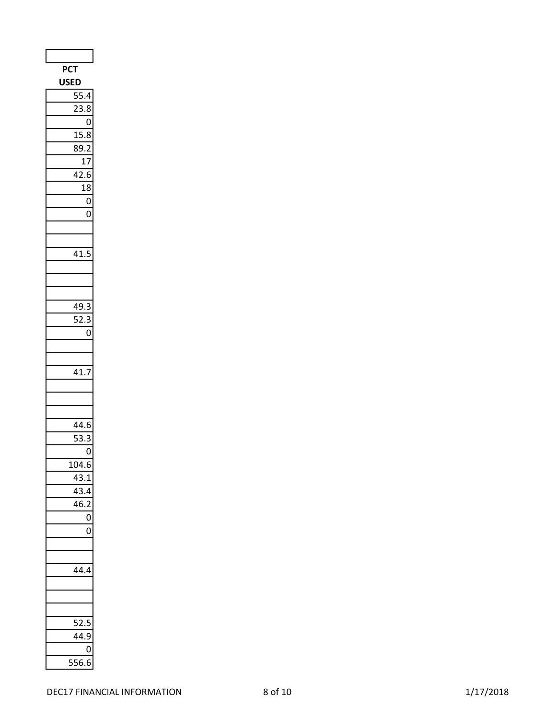| PCT                                  |
|--------------------------------------|
| <b>USED</b>                          |
| $\overline{55}$<br>4                 |
| 2<br>$\overline{\mathbf{3.8}}$<br>Î. |
| 0                                    |
| $\frac{1}{15.8}$                     |
| 89.2                                 |
| 17                                   |
| 42.6                                 |
| 18                                   |
| $\overline{0}$                       |
| 0                                    |
|                                      |
|                                      |
| 41.5                                 |
|                                      |
|                                      |
|                                      |
| 49.                                  |
| 52.3<br>3                            |
| 0                                    |
|                                      |
|                                      |
| 41.                                  |
|                                      |
|                                      |
|                                      |
| 14.6                                 |
| ľ<br><sup>}</sup> .<br>≀             |
| 0                                    |
| 104.6                                |
| 43.1                                 |
| 43.4                                 |
| 46.                                  |
| 0                                    |
| 0                                    |
|                                      |
|                                      |
| 44.4                                 |
|                                      |
|                                      |
| ľ                                    |
| ï,<br>2<br>44.9                      |
|                                      |
| 0                                    |
| 556.6                                |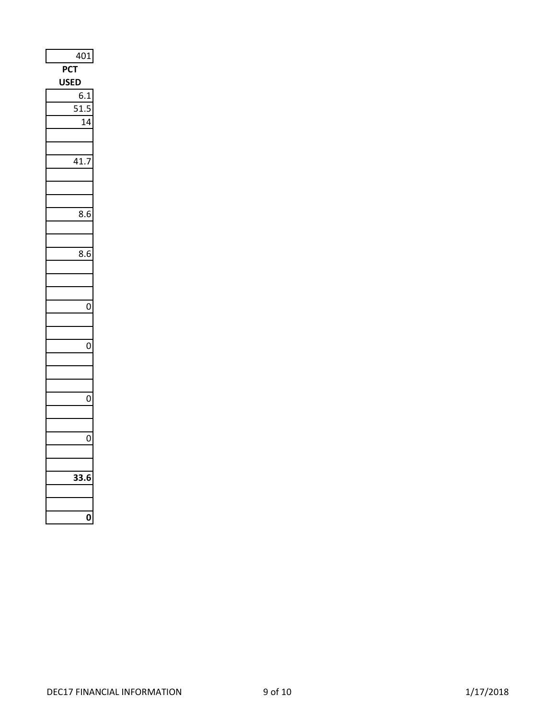|             | 401       |    |
|-------------|-----------|----|
| <b>PCT</b>  |           |    |
| <b>USED</b> |           |    |
|             | 6.1       |    |
|             | C<br>51.5 | 5  |
|             |           | 14 |
|             |           |    |
|             |           |    |
|             | 41.7      |    |
|             |           |    |
|             |           |    |
|             |           |    |
|             | 8.6       |    |
|             |           |    |
|             |           |    |
|             | 8.6       |    |
|             |           |    |
|             |           |    |
|             |           |    |
|             |           | 0  |
|             |           |    |
|             |           |    |
|             |           | 0  |
|             |           |    |
|             |           |    |
|             |           |    |
|             |           | 0  |
|             |           |    |
|             |           |    |
|             |           | 0  |
|             |           |    |
|             |           |    |
|             | :<br>I    |    |
|             |           |    |
|             |           |    |
|             |           |    |
|             |           |    |